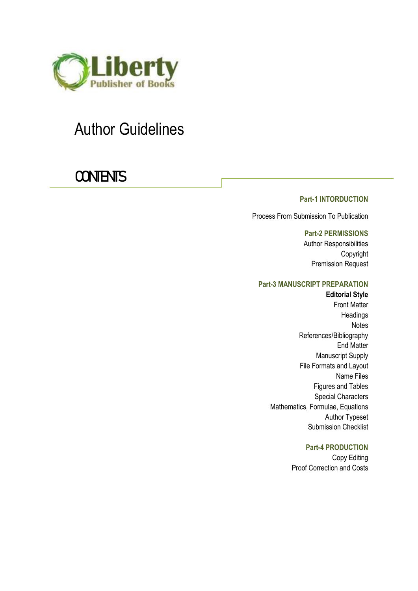

# Author Guidelines

# **CONTENTS**

# **Part-1 INTORDUCTION**

Process From Submission To Publication

**Part-2 PERMISSIONS** Author Responsibilities Copyright Premission Request

#### **Part-3 MANUSCRIPT PREPARATION**

**Editorial Style** Front Matter **Headings** Notes References/Bibliography End Matter Manuscript Supply File Formats and Layout Name Files Figures and Tables Special Characters Mathematics, Formulae, Equations Author Typeset Submission Checklist

#### **Part-4 PRODUCTION**

Copy Editing Proof Correction and Costs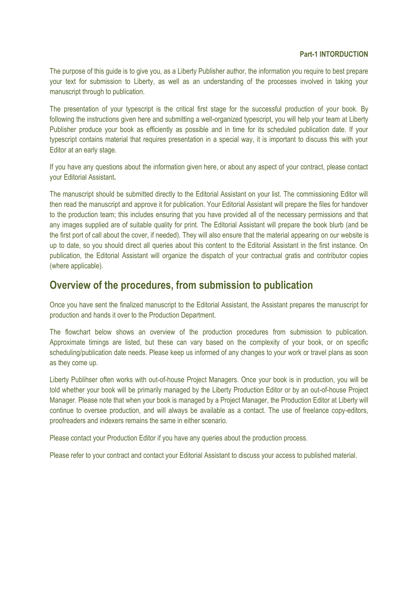#### **Part-1 INTORDUCTION**

The purpose of this guide is to give you, as a Liberty Publisher author, the information you require to best prepare your text for submission to Liberty, as well as an understanding of the processes involved in taking your manuscript through to publication.

The presentation of your typescript is the critical first stage for the successful production of your book. By following the instructions given here and submitting a well-organized typescript, you will help your team at Liberty Publisher produce your book as efficiently as possible and in time for its scheduled publication date. If your typescript contains material that requires presentation in a special way, it is important to discuss this with your Editor at an early stage.

If you have any questions about the information given here, or about any aspect of your contract, please contact your Editorial Assistant**.**

The manuscript should be submitted directly to the Editorial Assistant on your list. The commissioning Editor will then read the manuscript and approve it for publication. Your Editorial Assistant will prepare the files for handover to the production team; this includes ensuring that you have provided all of the necessary permissions and that any images supplied are of suitable quality for print. The Editorial Assistant will prepare the book blurb (and be the first port of call about the cover, if needed). They will also ensure that the material appearing on our website is up to date, so you should direct all queries about this content to the Editorial Assistant in the first instance. On publication, the Editorial Assistant will organize the dispatch of your contractual gratis and contributor copies (where applicable).

# **Overview of the procedures, from submission to publication**

Once you have sent the finalized manuscript to the Editorial Assistant, the Assistant prepares the manuscript for production and hands it over to the Production Department.

The flowchart below shows an overview of the production procedures from submission to publication. Approximate timings are listed, but these can vary based on the complexity of your book, or on specific scheduling/publication date needs. Please keep us informed of any changes to your work or travel plans as soon as they come up.

Liberty Publihser often works with out-of-house Project Managers. Once your book is in production, you will be told whether your book will be primarily managed by the Liberty Production Editor or by an out-of-house Project Manager. Please note that when your book is managed by a Project Manager, the Production Editor at Liberty will continue to oversee production, and will always be available as a contact. The use of freelance copy-editors, proofreaders and indexers remains the same in either scenario.

Please contact your Production Editor if you have any queries about the production process.

Please refer to your contract and contact your Editorial Assistant to discuss your access to published material.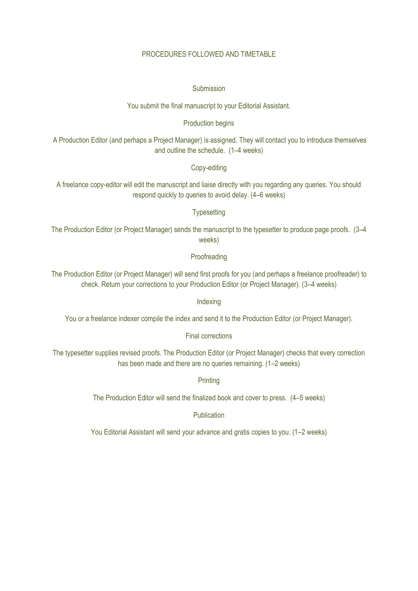## PROCEDURES FOLLOWED AND TIMETABLE

#### Submission

You submit the final manuscript to your Editorial Assistant.

#### Production begins

A Production Editor (and perhaps a Project Manager) is assigned. They will contact you to introduce themselves and outline the schedule. (1–4 weeks)

## Copy-editing

A freelance copy-editor will edit the manuscript and liaise directly with you regarding any queries. You should respond quickly to queries to avoid delay. (4–6 weeks)

#### **Typesetting**

The Production Editor (or Project Manager) sends the manuscript to the typesetter to produce page proofs. (3–4 weeks)

#### **Proofreading**

The Production Editor (or Project Manager) will send first proofs for you (and perhaps a freelance proofreader) to check. Return your corrections to your Production Editor (or Project Manager). (3–4 weeks)

Indexing

You or a freelance indexer compile the index and send it to the Production Editor (or Project Manager).

# Final corrections

The typesetter supplies revised proofs. The Production Editor (or Project Manager) checks that every correction has been made and there are no queries remaining. (1–2 weeks)

**Printing** 

The Production Editor will send the finalized book and cover to press. (4–5 weeks)

Publication

You Editorial Assistant will send your advance and gratis copies to you. (1–2 weeks)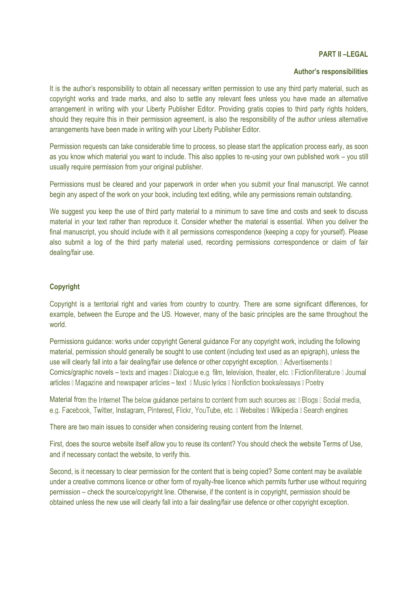#### **PART II –LEGAL**

#### **Author's responsibilities**

It is the author's responsibility to obtain all necessary written permission to use any third party material, such as copyright works and trade marks, and also to settle any relevant fees unless you have made an alternative arrangement in writing with your Liberty Publisher Editor. Providing gratis copies to third party rights holders, should they require this in their permission agreement, is also the responsibility of the author unless alternative arrangements have been made in writing with your Liberty Publisher Editor.

Permission requests can take considerable time to process, so please start the application process early, as soon as you know which material you want to include. This also applies to re-using your own published work – you still usually require permission from your original publisher.

Permissions must be cleared and your paperwork in order when you submit your final manuscript. We cannot begin any aspect of the work on your book, including text editing, while any permissions remain outstanding.

We suggest you keep the use of third party material to a minimum to save time and costs and seek to discuss material in your text rather than reproduce it. Consider whether the material is essential. When you deliver the final manuscript, you should include with it all permissions correspondence (keeping a copy for yourself). Please also submit a log of the third party material used, recording permissions correspondence or claim of fair dealing/fair use.

#### **Copyright**

Copyright is a territorial right and varies from country to country. There are some significant differences, for example, between the Europe and the US. However, many of the basic principles are the same throughout the world.

Permissions guidance: works under copyright General guidance For any copyright work, including the following material, permission should generally be sought to use content (including text used as an epigraph), unless the use will clearly fall into a fair dealing/fair use defence or other copyright exception. I Advertisements I Comics/graphic novels – texts and images II Dialogue e.g. film, television, theater, etc. II Fiction/literature II Journal articles II Magazine and newspaper articles – text II Music Ivrics II Nonfiction books/essays II Poetry

Material from the Internet The below guidance pertains to content from such sources as: [ Blogs [ Social media, e.g. Facebook, Twitter, Instagram, Pinterest, Flickr, YouTube, etc. I Websites I Wikipedia I Search engines

There are two main issues to consider when considering reusing content from the Internet.

First, does the source website itself allow you to reuse its content? You should check the website Terms of Use, and if necessary contact the website, to verify this.

Second, is it necessary to clear permission for the content that is being copied? Some content may be available under a creative commons licence or other form of royalty-free licence which permits further use without requiring permission – check the source/copyright line. Otherwise, if the content is in copyright, permission should be obtained unless the new use will clearly fall into a fair dealing/fair use defence or other copyright exception.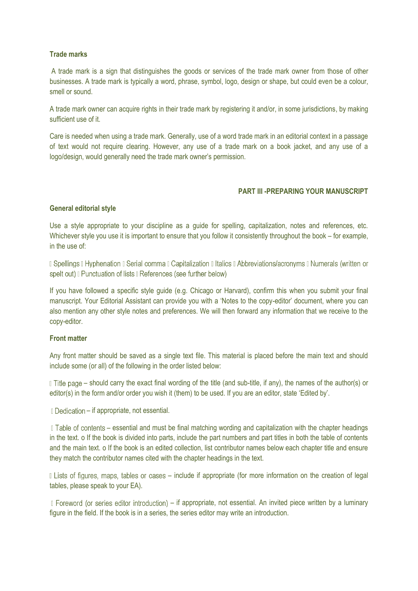#### **Trade marks**

A trade mark is a sign that distinguishes the goods or services of the trade mark owner from those of other businesses. A trade mark is typically a word, phrase, symbol, logo, design or shape, but could even be a colour, smell or sound.

A trade mark owner can acquire rights in their trade mark by registering it and/or, in some jurisdictions, by making sufficient use of it.

Care is needed when using a trade mark. Generally, use of a word trade mark in an editorial context in a passage of text would not require clearing. However, any use of a trade mark on a book jacket, and any use of a logo/design, would generally need the trade mark owner's permission.

#### **PART III -PREPARING YOUR MANUSCRIPT**

#### **General editorial style**

Use a style appropriate to your discipline as a guide for spelling, capitalization, notes and references, etc. Whichever style you use it is important to ensure that you follow it consistently throughout the book – for example, in the use of:

D Spellings D Hyphenation D Serial comma D Capitalization D Italics D Abbreviations/acronyms D Numerals (written or spelt out) **Punctuation of lists References** (see further below)

If you have followed a specific style guide (e.g. Chicago or Harvard), confirm this when you submit your final manuscript. Your Editorial Assistant can provide you with a 'Notes to the copy-editor' document, where you can also mention any other style notes and preferences. We will then forward any information that we receive to the copy-editor.

#### **Front matter**

Any front matter should be saved as a single text file. This material is placed before the main text and should include some (or all) of the following in the order listed below:

If the page – should carry the exact final wording of the title (and sub-title, if any), the names of the author(s) or editor(s) in the form and/or order you wish it (them) to be used. If you are an editor, state 'Edited by'.

I Dedication – if appropriate, not essential.

If Table of contents – essential and must be final matching wording and capitalization with the chapter headings in the text. o If the book is divided into parts, include the part numbers and part titles in both the table of contents and the main text. o If the book is an edited collection, list contributor names below each chapter title and ensure they match the contributor names cited with the chapter headings in the text.

Il Lists of figures, maps, tables or cases – include if appropriate (for more information on the creation of legal tables, please speak to your EA).

I Foreword (or series editor introduction) – if appropriate, not essential. An invited piece written by a luminary figure in the field. If the book is in a series, the series editor may write an introduction.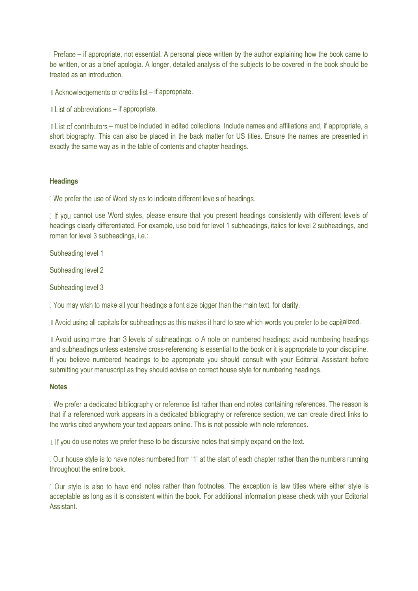I Preface – if appropriate, not essential. A personal piece written by the author explaining how the book came to be written, or as a brief apologia. A longer, detailed analysis of the subjects to be covered in the book should be treated as an introduction.

I Acknowledgements or credits list – if appropriate.

I List of abbreviations – if appropriate.

Il List of contributors – must be included in edited collections. Include names and affiliations and, if appropriate, a short biography. This can also be placed in the back matter for US titles. Ensure the names are presented in exactly the same way as in the table of contents and chapter headings.

#### **Headings**

If We prefer the use of Word styles to indicate different levels of headings.

If you cannot use Word styles, please ensure that you present headings consistently with different levels of headings clearly differentiated. For example, use bold for level 1 subheadings, italics for level 2 subheadings, and roman for level 3 subheadings, i.e.:

Subheading level 1

Subheading level 2

Subheading level 3

If You may wish to make all your headings a font size bigger than the main text, for clarity.

I Avoid using all capitals for subheadings as this makes it hard to see which words you prefer to be capitalized.

I Avoid using more than 3 levels of subheadings, o A note on numbered headings: avoid numbering headings and subheadings unless extensive cross-referencing is essential to the book or it is appropriate to your discipline. If you believe numbered headings to be appropriate you should consult with your Editorial Assistant before submitting your manuscript as they should advise on correct house style for numbering headings.

#### **Notes**

If We prefer a dedicated bibliography or reference list rather than end notes containing references. The reason is that if a referenced work appears in a dedicated bibliography or reference section, we can create direct links to the works cited anywhere your text appears online. This is not possible with note references.

 $\parallel$  If vou do use notes we prefer these to be discursive notes that simply expand on the text.

Our house style is to have notes numbered from '1' at the start of each chapter rather than the numbers running throughout the entire book.

I Our style is also to have end notes rather than footnotes. The exception is law titles where either style is acceptable as long as it is consistent within the book. For additional information please check with your Editorial **Assistant**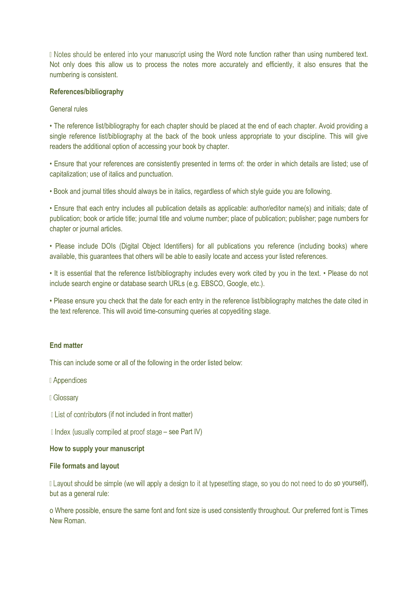I Notes should be entered into your manuscript using the Word note function rather than using numbered text. Not only does this allow us to process the notes more accurately and efficiently, it also ensures that the numbering is consistent.

#### **References/bibliography**

#### General rules

• The reference list/bibliography for each chapter should be placed at the end of each chapter. Avoid providing a single reference list/bibliography at the back of the book unless appropriate to your discipline. This will give readers the additional option of accessing your book by chapter.

• Ensure that your references are consistently presented in terms of: the order in which details are listed; use of capitalization; use of italics and punctuation.

• Book and journal titles should always be in italics, regardless of which style guide you are following.

• Ensure that each entry includes all publication details as applicable: author/editor name(s) and initials; date of publication; book or article title; journal title and volume number; place of publication; publisher; page numbers for chapter or journal articles.

• Please include DOIs (Digital Object Identifiers) for all publications you reference (including books) where available, this guarantees that others will be able to easily locate and access your listed references.

• It is essential that the reference list/bibliography includes every work cited by you in the text. • Please do not include search engine or database search URLs (e.g. EBSCO, Google, etc.).

• Please ensure you check that the date for each entry in the reference list/bibliography matches the date cited in the text reference. This will avoid time-consuming queries at copyediting stage.

## **End matter**

This can include some or all of the following in the order listed below:

Il Appendices

I Glossarv

I List of contributors (if not included in front matter)

 $\Box$  Index (usually compiled at proof stage – see Part IV)

#### **How to supply your manuscript**

#### **File formats and layout**

I Layout should be simple (we will apply a design to it at typesetting stage, so you do not need to do so yourself), but as a general rule:

o Where possible, ensure the same font and font size is used consistently throughout. Our preferred font is Times New Roman.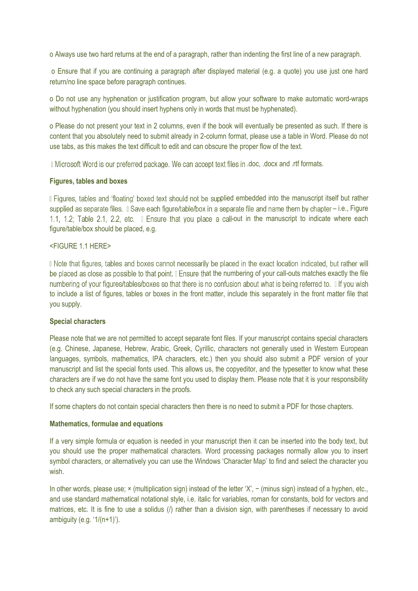o Always use two hard returns at the end of a paragraph, rather than indenting the first line of a new paragraph.

o Ensure that if you are continuing a paragraph after displayed material (e.g. a quote) you use just one hard return/no line space before paragraph continues.

o Do not use any hyphenation or justification program, but allow your software to make automatic word-wraps without hyphenation (you should insert hyphens only in words that must be hyphenated).

o Please do not present your text in 2 columns, even if the book will eventually be presented as such. If there is content that you absolutely need to submit already in 2-column format, please use a table in Word. Please do not use tabs, as this makes the text difficult to edit and can obscure the proper flow of the text.

I Microsoft Word is our preferred package. We can accept text files in .doc, .docx and .rtf formats.

#### **Figures, tables and boxes**

I Figures, tables and 'floating' boxed text should not be supplied embedded into the manuscript itself but rather supplied as separate files.  $\Box$  Save each figure/table/box in a separate file and name them by chapter – i.e., Figure 1.1, 1.2; Table 2.1, 2.2, etc. I Ensure that you place a call-out in the manuscript to indicate where each figure/table/box should be placed, e.g.

#### <FIGURE 1.1 HERE>

Do Note that figures, tables and boxes cannot necessarily be placed in the exact location indicated, but rather will be placed as close as possible to that point. I Ensure that the numbering of your call-outs matches exactly the file numbering of your figures/tables/boxes so that there is no confusion about what is being referred to. If you wish to include a list of figures, tables or boxes in the front matter, include this separately in the front matter file that you supply.

#### **Special characters**

Please note that we are not permitted to accept separate font files. If your manuscript contains special characters (e.g. Chinese, Japanese, Hebrew, Arabic, Greek, Cyrillic, characters not generally used in Western European languages, symbols, mathematics, IPA characters, etc.) then you should also submit a PDF version of your manuscript and list the special fonts used. This allows us, the copyeditor, and the typesetter to know what these characters are if we do not have the same font you used to display them. Please note that it is your responsibility to check any such special characters in the proofs.

If some chapters do not contain special characters then there is no need to submit a PDF for those chapters.

#### **Mathematics, formulae and equations**

If a very simple formula or equation is needed in your manuscript then it can be inserted into the body text, but you should use the proper mathematical characters. Word processing packages normally allow you to insert symbol characters, or alternatively you can use the Windows 'Character Map' to find and select the character you wish.

In other words, please use; × (multiplication sign) instead of the letter 'X', − (minus sign) instead of a hyphen, etc., and use standard mathematical notational style, i.e. italic for variables, roman for constants, bold for vectors and matrices, etc. It is fine to use a solidus (/) rather than a division sign, with parentheses if necessary to avoid ambiguity (e.g. '1/(n+1)').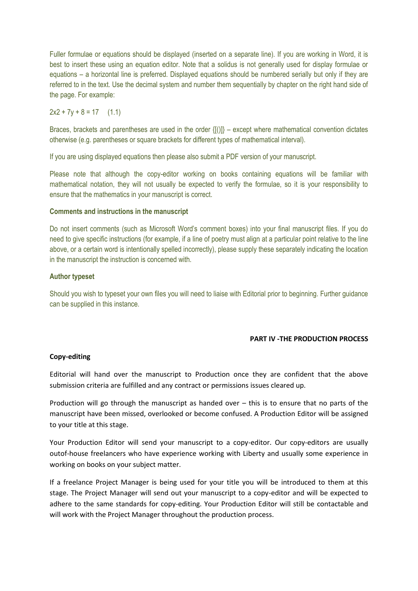Fuller formulae or equations should be displayed (inserted on a separate line). If you are working in Word, it is best to insert these using an equation editor. Note that a solidus is not generally used for display formulae or equations – a horizontal line is preferred. Displayed equations should be numbered serially but only if they are referred to in the text. Use the decimal system and number them sequentially by chapter on the right hand side of the page. For example:

 $2x2 + 7y + 8 = 17$  (1.1)

Braces, brackets and parentheses are used in the order {[()]} – except where mathematical convention dictates otherwise (e.g. parentheses or square brackets for different types of mathematical interval).

If you are using displayed equations then please also submit a PDF version of your manuscript.

Please note that although the copy-editor working on books containing equations will be familiar with mathematical notation, they will not usually be expected to verify the formulae, so it is your responsibility to ensure that the mathematics in your manuscript is correct.

#### **Comments and instructions in the manuscript**

Do not insert comments (such as Microsoft Word's comment boxes) into your final manuscript files. If you do need to give specific instructions (for example, if a line of poetry must align at a particular point relative to the line above, or a certain word is intentionally spelled incorrectly), please supply these separately indicating the location in the manuscript the instruction is concerned with.

#### **Author typeset**

Should you wish to typeset your own files you will need to liaise with Editorial prior to beginning. Further guidance can be supplied in this instance.

#### **PART IV -THE PRODUCTION PROCESS**

#### **Copy-editing**

Editorial will hand over the manuscript to Production once they are confident that the above submission criteria are fulfilled and any contract or permissions issues cleared up.

Production will go through the manuscript as handed over – this is to ensure that no parts of the manuscript have been missed, overlooked or become confused. A Production Editor will be assigned to your title at this stage.

Your Production Editor will send your manuscript to a copy-editor. Our copy-editors are usually outof-house freelancers who have experience working with Liberty and usually some experience in working on books on your subject matter.

If a freelance Project Manager is being used for your title you will be introduced to them at this stage. The Project Manager will send out your manuscript to a copy-editor and will be expected to adhere to the same standards for copy-editing. Your Production Editor will still be contactable and will work with the Project Manager throughout the production process.